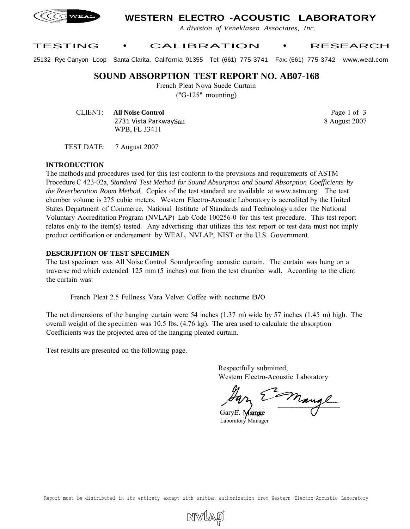

# **WESTERN ELECTRO -ACOUSTIC LABORATORY**

*A division of Veneklasen Associates, Inc.*

### TESTING • CALIBRATION • RESEARCH

25132 Rye Canyon Loop Santa Clarita, California 91355 Tel: (661) 775-3741 Fax: (661) 775-3742 www.weal.com

### **SOUND ABSORPTION TEST REPORT NO. AB07-168**

French Pleat Nova Suede Curtain

("G-125" mounting)

CLIENT: **All Noise Control** 2731 Vista ParkwaySan WPB, FL 33411

Page 1 of 3 8 August 2007

TEST DATE: 7 August 2007

#### **INTRODUCTION**

The methods and procedures used for this test conform to the provisions and requirements of ASTM Procedure C 423-02a, *Standard Test Method for Sound Absorption and Sound Absorption Coefficients by the Reverberation Room Method.* Copies of the test standard are available at www.astm.org. The test chamber volume is 275 cubic meters. Western Electro-Acoustic Laboratory is accredited by the United States Department of Commerce, National Institute of Standards and Technology under the National Voluntary Accreditation Program (NVLAP) Lab Code 100256-0 for this test procedure. This test report relates only to the item(s) tested. Any advertising that utilizes this test report or test data must not imply product certification or endorsement by WEAL, NVLAP, NIST or the U.S. Government.

#### **DESCRJPTION OF TEST SPECIMEN**

The test specimen was All Noise Control Soundproofing acoustic curtain. The curtain was hung on a traverse rod which extended 125 mm (5 inches) out from the test chamber wall. According to the client the curtain was:

French Pleat 2.5 Fullness Vara Velvet Coffee with nocturne B/0

The net dimensions of the hanging curtain were 54 inches (1.37 m) wide by 57 inches (1.45 m) high. The overall weight of the specimen was 10.5 lbs. (4.76 kg). The area used to calculate the absorption Coefficients was the projected area of the hanging pleated curtain.

Test results are presented on the following page.

Respectfully submitted, Western Electro-Acoustic Laboratory

mangl

GaryE. **Mange** Laboratory Manager

Report must be distributed in its entirety except with written authorization from Western Electro-Acoustic Laboratory

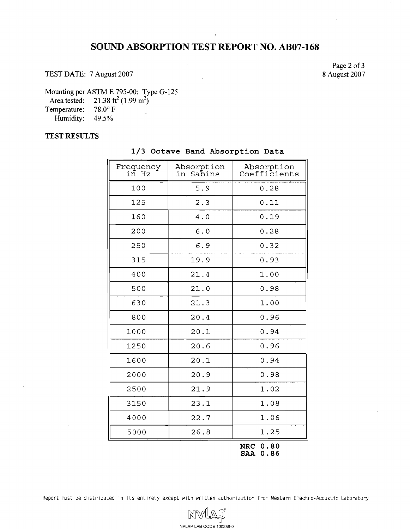# **SOUND ABSORPTION TEST REPORT NO. AB07-168**

TEST DATE: 7 August 2007

Page 2 of 3 8 August 2007

Mounting per ASTM E 795-00: Type G-125

Area tested:  $21.38 \text{ ft}^2 (1.99 \text{ m}^2)$ 

Temperature: 78.0° F Humidity: 49.5%

#### **TEST RESULTS**

| Frequency<br>in Hz | Absorption<br>Sabins<br>in | Absorption<br>Coefficients |
|--------------------|----------------------------|----------------------------|
| 100                | 5.9                        | 0.28                       |
| 125                | 2.3                        | 0.11                       |
| 160                | 4.0                        | 0.19                       |
| 200                | 6.0                        | 0.28                       |
| 250                | 6.9                        | 0.32                       |
| 315                | 19.9                       | 0.93                       |
| 400                | 21.4                       | 1.00                       |
| 500                | 21.0                       | 0.98                       |
| 630                | 21.3                       | 1.00                       |
| 800                | 20.4                       | 0.96                       |
| 1000               | 20.1                       | 0.94                       |
| 1250               | 20.6                       | 0.96                       |
| 1600               | 20.1                       | 0.94                       |
| 2000               | 20.9                       | 0.98                       |
| 2500               | 21.9                       | 1.02                       |
| 3150               | 23.1                       | 1.08                       |
| 4000               | 22.7                       | 1.06                       |
| 5000               | 26.8                       | 1.25                       |
|                    |                            | NRC 0.80                   |

**1/3 Octave Band Absorption Data** 

**SAA 0.86** 

Report must be distributed in its entirety except with written authorization from Western Electro-Acoustic Laboratory